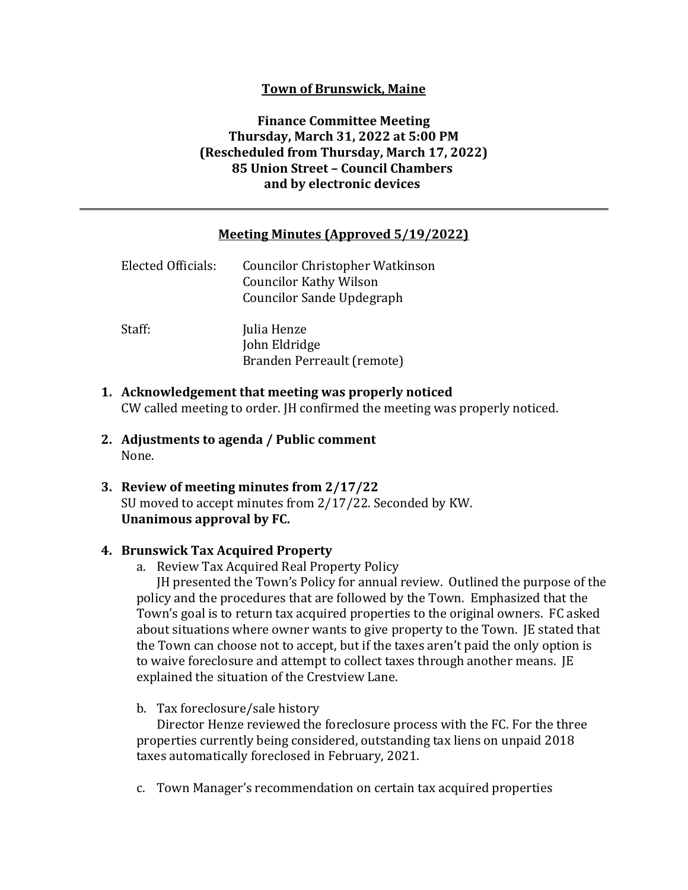## **Town of Brunswick, Maine**

# **Finance Committee Meeting Thursday, March 31, 2022 at 5:00 PM (Rescheduled from Thursday, March 17, 2022) 85 Union Street – Council Chambers and by electronic devices**

### **Meeting Minutes (Approved 5/19/2022)**

| Elected Officials: | <b>Councilor Christopher Watkinson</b><br><b>Councilor Kathy Wilson</b><br>Councilor Sande Updegraph |
|--------------------|------------------------------------------------------------------------------------------------------|
| Staff:             | Julia Henze<br>John Eldridge<br>Branden Perreault (remote)                                           |

- **1. Acknowledgement that meeting was properly noticed** CW called meeting to order. JH confirmed the meeting was properly noticed.
- **2. Adjustments to agenda / Public comment** None.
- **3. Review of meeting minutes from 2/17/22** SU moved to accept minutes from 2/17/22. Seconded by KW. **Unanimous approval by FC.**

#### **4. Brunswick Tax Acquired Property**

a. Review Tax Acquired Real Property Policy

JH presented the Town's Policy for annual review. Outlined the purpose of the policy and the procedures that are followed by the Town. Emphasized that the Town's goal is to return tax acquired properties to the original owners. FC asked about situations where owner wants to give property to the Town. JE stated that the Town can choose not to accept, but if the taxes aren't paid the only option is to waive foreclosure and attempt to collect taxes through another means. JE explained the situation of the Crestview Lane.

b. Tax foreclosure/sale history

Director Henze reviewed the foreclosure process with the FC. For the three properties currently being considered, outstanding tax liens on unpaid 2018 taxes automatically foreclosed in February, 2021.

c. Town Manager's recommendation on certain tax acquired properties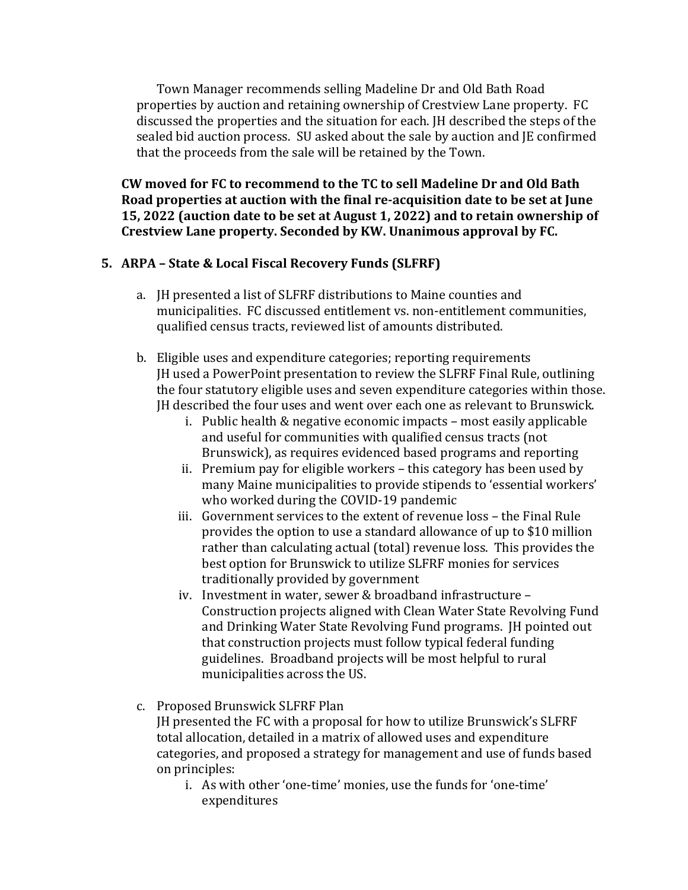Town Manager recommends selling Madeline Dr and Old Bath Road properties by auction and retaining ownership of Crestview Lane property. FC discussed the properties and the situation for each. JH described the steps of the sealed bid auction process. SU asked about the sale by auction and JE confirmed that the proceeds from the sale will be retained by the Town.

**CW moved for FC to recommend to the TC to sell Madeline Dr and Old Bath Road properties at auction with the final re‐acquisition date to be set at June 15, 2022 (auction date to be set at August 1, 2022) and to retain ownership of Crestview Lane property. Seconded by KW. Unanimous approval by FC.**

# **5. ARPA – State & Local Fiscal Recovery Funds (SLFRF)**

- a. JH presented a list of SLFRF distributions to Maine counties and municipalities. FC discussed entitlement vs. non-entitlement communities, qualified census tracts, reviewed list of amounts distributed.
- b. Eligible uses and expenditure categories; reporting requirements JH used a PowerPoint presentation to review the SLFRF Final Rule, outlining the four statutory eligible uses and seven expenditure categories within those. JH described the four uses and went over each one as relevant to Brunswick.
	- i. Public health & negative economic impacts most easily applicable and useful for communities with qualified census tracts (not Brunswick), as requires evidenced based programs and reporting
	- ii. Premium pay for eligible workers this category has been used by many Maine municipalities to provide stipends to 'essential workers' who worked during the COVID-19 pandemic
	- iii. Government services to the extent of revenue loss the Final Rule provides the option to use a standard allowance of up to \$10 million rather than calculating actual (total) revenue loss. This provides the best option for Brunswick to utilize SLFRF monies for services traditionally provided by government
	- iv. Investment in water, sewer & broadband infrastructure Construction projects aligned with Clean Water State Revolving Fund and Drinking Water State Revolving Fund programs. JH pointed out that construction projects must follow typical federal funding guidelines. Broadband projects will be most helpful to rural municipalities across the US.
- c. Proposed Brunswick SLFRF Plan

JH presented the FC with a proposal for how to utilize Brunswick's SLFRF total allocation, detailed in a matrix of allowed uses and expenditure categories, and proposed a strategy for management and use of funds based on principles:

i. As with other 'one-time' monies, use the funds for 'one-time' expenditures